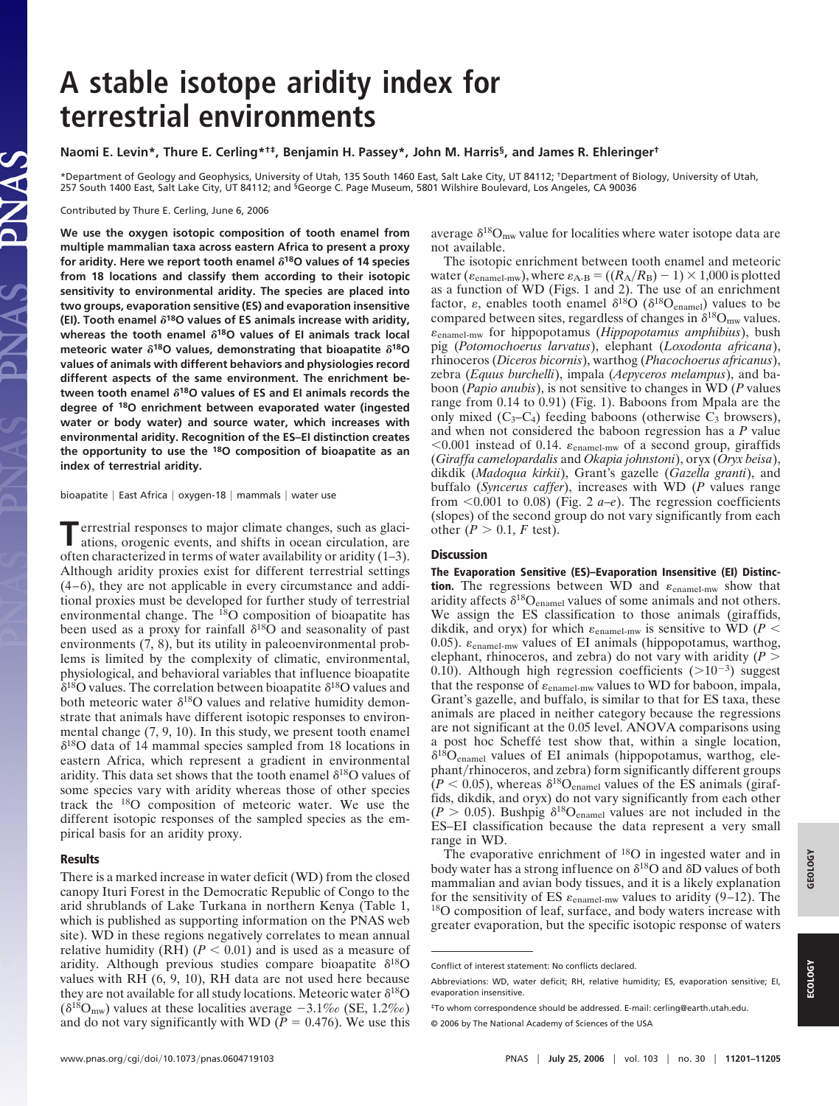# **A stable isotope aridity index for terrestrial environments**

## **Naomi E. Levin\*, Thure E. Cerling\*†‡, Benjamin H. Passey\*, John M. Harris§, and James R. Ehleringer†**

\*Department of Geology and Geophysics, University of Utah, 135 South 1460 East, Salt Lake City, UT 84112; †Department of Biology, University of Utah, 257 South 1400 East, Salt Lake City, UT 84112; and <sup>§</sup>George C. Page Museum, 5801 Wilshire Boulevard, Los Angeles, CA 90036

Contributed by Thure E. Cerling, June 6, 2006

**We use the oxygen isotopic composition of tooth enamel from multiple mammalian taxa across eastern Africa to present a proxy** for aridity. Here we report tooth enamel  $\delta^{18}$ O values of 14 species **from 18 locations and classify them according to their isotopic sensitivity to environmental aridity. The species are placed into two groups, evaporation sensitive (ES) and evaporation insensitive (EI). Tooth enamel 18O values of ES animals increase with aridity,** whereas the tooth enamel  $\delta^{18}$ O values of EI animals track local meteoric water  $\delta^{18}$ O values, demonstrating that bioapatite  $\delta^{18}$ O **values of animals with different behaviors and physiologies record different aspects of the same environment. The enrichment between tooth enamel 18O values of ES and EI animals records the degree of 18O enrichment between evaporated water (ingested water or body water) and source water, which increases with environmental aridity. Recognition of the ES–EI distinction creates the opportunity to use the 18O composition of bioapatite as an index of terrestrial aridity.**

bioapatite | East Africa | oxygen-18 | mammals | water use

**T**errestrial responses to major climate changes, such as glaciations, orogenic events, and shifts in ocean circulation, are often characterized in terms of water availability or aridity (1–3). Although aridity proxies exist for different terrestrial settings (4–6), they are not applicable in every circumstance and additional proxies must be developed for further study of terrestrial environmental change. The 18O composition of bioapatite has been used as a proxy for rainfall  $\delta^{18}$ O and seasonality of past environments  $(7, 8)$ , but its utility in paleoenvironmental problems is limited by the complexity of climatic, environmental, physiological, and behavioral variables that influence bioapatite  $\delta^{18}$ O values. The correlation between bioapatite  $\delta^{18}$ O values and both meteoric water  $\delta^{18}O$  values and relative humidity demonstrate that animals have different isotopic responses to environmental change (7, 9, 10). In this study, we present tooth enamel  $\delta^{18}$ O data of 14 mammal species sampled from 18 locations in eastern Africa, which represent a gradient in environmental aridity. This data set shows that the tooth enamel  $\delta^{18}O$  values of some species vary with aridity whereas those of other species track the 18O composition of meteoric water. We use the different isotopic responses of the sampled species as the empirical basis for an aridity proxy.

# **Results**

There is a marked increase in water deficit (WD) from the closed canopy Ituri Forest in the Democratic Republic of Congo to the arid shrublands of Lake Turkana in northern Kenya (Table 1, which is published as supporting information on the PNAS web site). WD in these regions negatively correlates to mean annual relative humidity (RH)  $(P < 0.01)$  and is used as a measure of aridity. Although previous studies compare bioapatite  $\delta^{18}O$ values with RH (6, 9, 10), RH data are not used here because they are not available for all study locations. Meteoric water  $\delta^{18}O$  $(\delta^{18}O_{mw})$  values at these localities average  $-3.1\%$  (SE, 1.2\%) and do not vary significantly with WD ( $P = 0.476$ ). We use this average  $\delta^{18}O_{mw}$  value for localities where water isotope data are not available.

The isotopic enrichment between tooth enamel and meteoric water ( $\varepsilon_{\text{enamel-mw}}$ ), where  $\varepsilon_{\text{A-B}} = ((R_{\text{A}}/R_{\text{B}}) - 1) \times 1,000$  is plotted as a function of WD (Figs. 1 and 2). The use of an enrichment factor,  $\varepsilon$ , enables tooth enamel  $\delta^{18}O$  ( $\delta^{18}O_{\text{enamel}}$ ) values to be compared between sites, regardless of changes in  $\delta^{18}O_{mw}$  values. -enamel-mw for hippopotamus (*Hippopotamus amphibius*), bush pig (*Potomochoerus larvatus*), elephant (*Loxodonta africana*), rhinoceros (*Diceros bicornis*), warthog (*Phacochoerus africanus*), zebra (*Equus burchelli*), impala (*Aepyceros melampus*), and baboon (*Papio anubis*), is not sensitive to changes in WD (*P* values range from 0.14 to 0.91) (Fig. 1). Baboons from Mpala are the only mixed  $(C_3-C_4)$  feeding baboons (otherwise  $C_3$  browsers), and when not considered the baboon regression has a *P* value  $< 0.001$  instead of 0.14.  $\varepsilon_{\text{channel-mw}}$  of a second group, giraffids (*Giraffa camelopardalis* and *Okapia johnstoni*), oryx (*Oryx beisa*), dikdik (*Madoqua kirkii*), Grant's gazelle (*Gazella granti*), and buffalo (*Syncerus caffer*), increases with WD (*P* values range from  $\leq 0.001$  to 0.08) (Fig. 2 *a–e*). The regression coefficients (slopes) of the second group do not vary significantly from each other  $(P > 0.1, F \text{ test})$ .

### **Discussion**

**The Evaporation Sensitive (ES)–Evaporation Insensitive (EI) Distinction.** The regressions between WD and  $\varepsilon_{\text{channel-mw}}$  show that aridity affects  $\delta^{18}O_{\text{enamel}}$  values of some animals and not others. We assign the ES classification to those animals (giraffids, dikdik, and oryx) for which  $\varepsilon_{\text{channel-mw}}$  is sensitive to WD ( $P <$ 0.05).  $\varepsilon$ <sub>enamel-mw</sub> values of EI animals (hippopotamus, warthog, elephant, rhinoceros, and zebra) do not vary with aridity (*P* 0.10). Although high regression coefficients  $(>10^{-3})$  suggest that the response of  $\varepsilon_{\text{channel-mw}}$  values to WD for baboon, impala, Grant's gazelle, and buffalo, is similar to that for ES taxa, these animals are placed in neither category because the regressions are not significant at the 0.05 level. ANOVA comparisons using a post hoc Scheffé test show that, within a single location,  $\delta^{18}O_{\text{channel}}$  values of EI animals (hippopotamus, warthog, elephant/rhinoceros, and zebra) form significantly different groups  $(P < 0.05)$ , whereas  $\delta^{18}O_{\text{channel}}$  values of the ES animals (giraffids, dikdik, and oryx) do not vary significantly from each other  $(P > 0.05)$ . Bushpig  $\delta^{18}O_{\text{channel}}$  values are not included in the ES–EI classification because the data represent a very small range in WD.

The evaporative enrichment of <sup>18</sup>O in ingested water and in body water has a strong influence on  $\delta^{18}$ O and  $\delta$ D values of both mammalian and avian body tissues, and it is a likely explanation for the sensitivity of ES  $\varepsilon_{\text{channel-mw}}$  values to aridity (9–12). The <sup>18</sup>O composition of leaf, surface, and body waters increase with greater evaporation, but the specific isotopic response of waters

**ECOLOGY**

ECOLOG'

**GEOLOGY**

GEOLOGY

Conflict of interest statement: No conflicts declared.

Abbreviations: WD, water deficit; RH, relative humidity; ES, evaporation sensitive; EI, evaporation insensitive.

<sup>‡</sup>To whom correspondence should be addressed. E-mail: cerling@earth.utah.edu.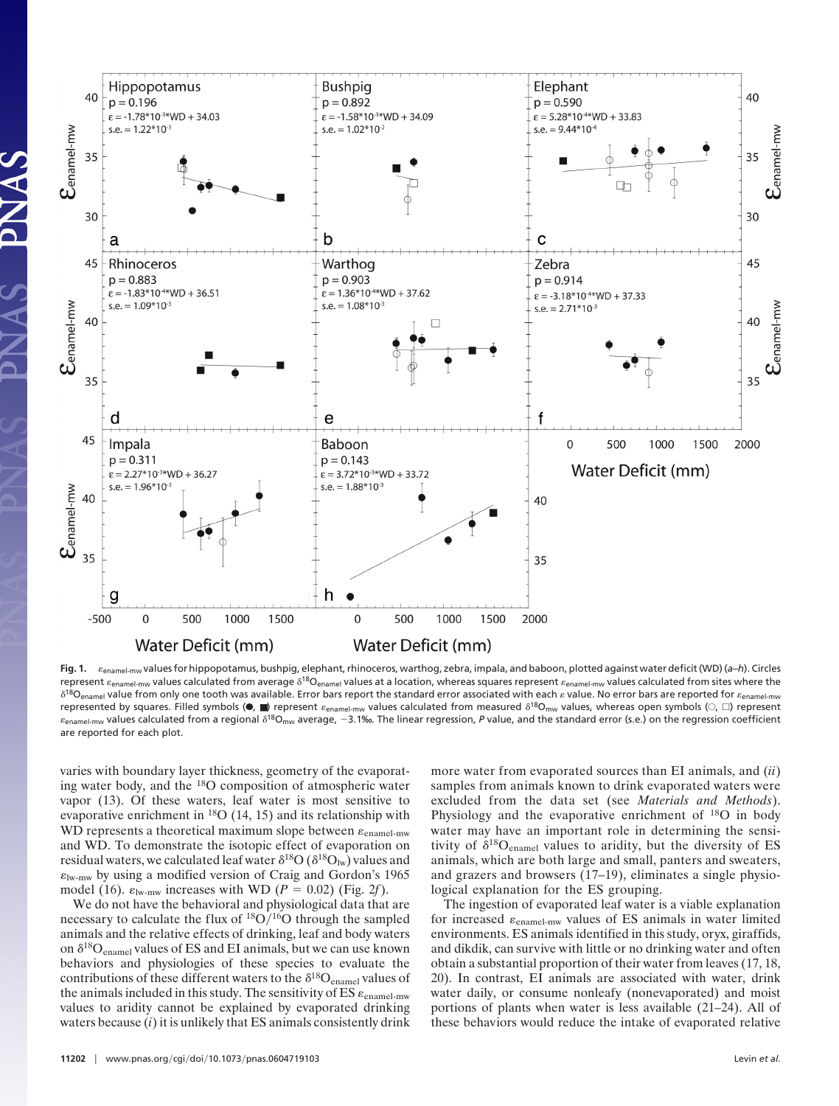

**Fig. 1.** -enamel-mw values for hippopotamus, bushpig, elephant, rhinoceros, warthog, zebra, impala, and baboon, plotted against water deficit (WD) (*a*–*h*). Circles represent  $\varepsilon_{\text{enamel-mw}}$  values calculated from average  $\delta^{18} \mathsf{O}_{\text{enamel}}$  values at a location, whereas squares represent  $\varepsilon_{\text{enamel-mw}}$  values calculated from sites where the  $\delta^{18}$ O<sub>enamel</sub> value from only one tooth was available. Error bars report the standard error associated with each  $\varepsilon$  value. No error bars are reported for  $\varepsilon_{\sf enamel-mw}$ represented by squares. Filled symbols ( $\bullet$ ,  $\blacksquare$ ) represent  $\varepsilon_{\sf ename1-mw}$  values calculated from measured  $\delta^{18}$ O<sub>mw</sub> values, whereas open symbols ( $\odot$ ,  $\Box$ ) represent  $\varepsilon$ <sub>enamel-mw</sub> values calculated from a regional  $\delta^{18}O_{\rm mw}$  average,  $-3.1$ ‰. The linear regression, P value, and the standard error (s.e.) on the regression coefficient are reported for each plot.

varies with boundary layer thickness, geometry of the evaporating water body, and the 18O composition of atmospheric water vapor (13). Of these waters, leaf water is most sensitive to evaporative enrichment in 18O (14, 15) and its relationship with WD represents a theoretical maximum slope between  $\varepsilon_{\text{enamel-mw}}$ and WD. To demonstrate the isotopic effect of evaporation on residual waters, we calculated leaf water  $\delta^{18}O (\delta^{18}O_{\text{lw}})$  values and  $\varepsilon_{\text{lw-mw}}$  by using a modified version of Craig and Gordon's 1965 model (16).  $\varepsilon_{\text{lw-mw}}$  increases with WD ( $P = 0.02$ ) (Fig. 2*f*).

We do not have the behavioral and physiological data that are necessary to calculate the flux of  $\rm{^{18}O/^{16}O}$  through the sampled animals and the relative effects of drinking, leaf and body waters on  $\delta^{18}O_{\text{channel}}$  values of ES and EI animals, but we can use known behaviors and physiologies of these species to evaluate the contributions of these different waters to the  $\delta^{18}O_{\text{enamel}}$  values of the animals included in this study. The sensitivity of ES  $\varepsilon$ <sub>enamel-mw</sub> values to aridity cannot be explained by evaporated drinking waters because (*i*) it is unlikely that ES animals consistently drink more water from evaporated sources than EI animals, and (*ii*) samples from animals known to drink evaporated waters were excluded from the data set (see *Materials and Methods*). Physiology and the evaporative enrichment of <sup>18</sup>O in body water may have an important role in determining the sensitivity of  $\delta^{18}O_{\text{channel}}$  values to aridity, but the diversity of ES animals, which are both large and small, panters and sweaters, and grazers and browsers (17–19), eliminates a single physiological explanation for the ES grouping.

The ingestion of evaporated leaf water is a viable explanation for increased  $\varepsilon_{\text{channel-mw}}$  values of ES animals in water limited environments. ES animals identified in this study, oryx, giraffids, and dikdik, can survive with little or no drinking water and often obtain a substantial proportion of their water from leaves (17, 18, 20). In contrast, EI animals are associated with water, drink water daily, or consume nonleafy (nonevaporated) and moist portions of plants when water is less available (21–24). All of these behaviors would reduce the intake of evaporated relative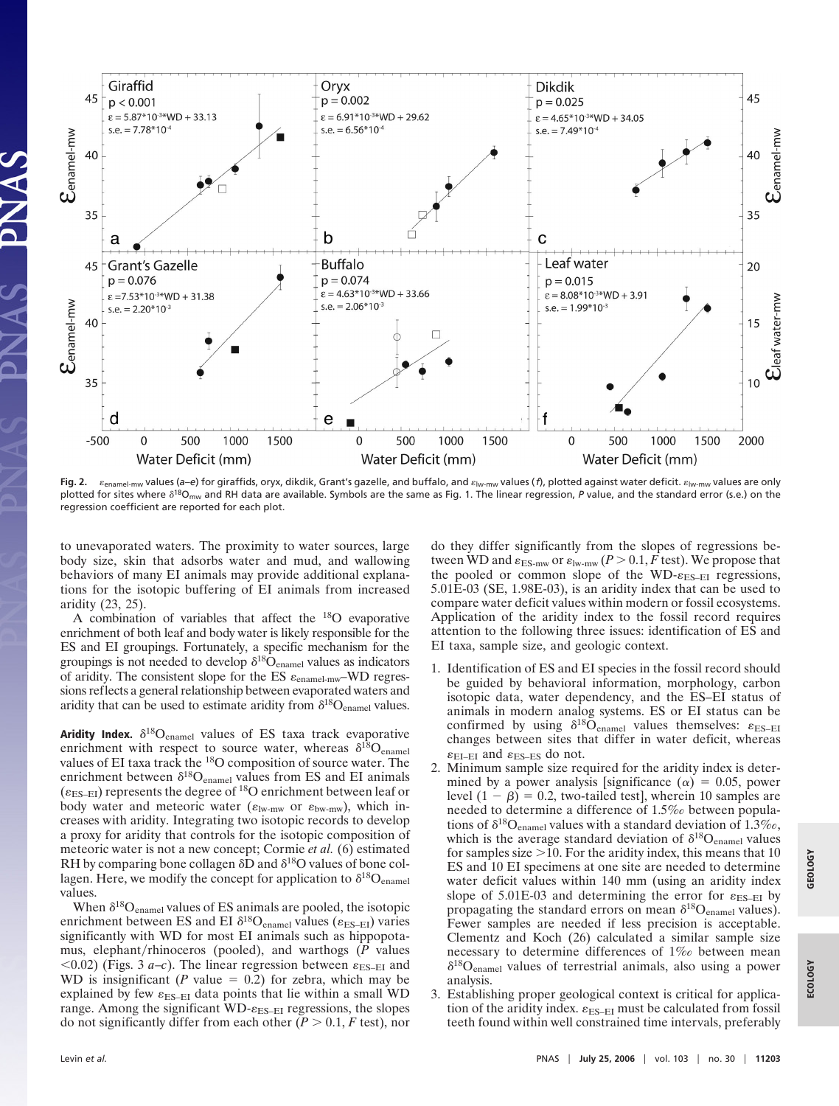

Fig. 2. *Liferamel-mw values (a–e)* for giraffids, oryx, dikdik, Grant's gazelle, and buffalo, and  $\varepsilon_{\rm low-mw}$  values (*f*), plotted against water deficit.  $\varepsilon_{\rm low-mw}$  values are only plotted for sites where  $\delta^{18}$ O<sub>mw</sub> and RH data are available. Symbols are the same as Fig. 1. The linear regression, P value, and the standard error (s.e.) on the regression coefficient are reported for each plot.

to unevaporated waters. The proximity to water sources, large body size, skin that adsorbs water and mud, and wallowing behaviors of many EI animals may provide additional explanations for the isotopic buffering of EI animals from increased aridity (23, 25).

A combination of variables that affect the 18O evaporative enrichment of both leaf and body water is likely responsible for the ES and EI groupings. Fortunately, a specific mechanism for the groupings is not needed to develop  $\delta^{18}\text{O}_\text{channel}$  values as indicators of aridity. The consistent slope for the ES  $\varepsilon_{\text{channel-mw}}$ -WD regressions reflects a general relationship between evaporated waters and aridity that can be used to estimate aridity from  $\delta^{18}O_{\text{channel}}$  values.

**Aridity Index.**  $\delta^{18}O_{\text{channel}}$  values of ES taxa track evaporative enrichment with respect to source water, whereas  $\delta^{18}O_{\text{channel}}$ values of EI taxa track the 18O composition of source water. The enrichment between  $\delta^{18}O_{\text{enamel}}$  values from ES and EI animals  $(\epsilon_{ES-EI})$  represents the degree of <sup>18</sup>O enrichment between leaf or body water and meteoric water ( $\varepsilon_{\text{lw-mw}}$  or  $\varepsilon_{\text{bw-mw}}$ ), which increases with aridity. Integrating two isotopic records to develop a proxy for aridity that controls for the isotopic composition of meteoric water is not a new concept; Cormie *et al.* (6) estimated RH by comparing bone collagen  $\delta\bar{D}$  and  $\delta^{18}O$  values of bone collagen. Here, we modify the concept for application to  $\delta^{18}O_{\text{channel}}$ values.

When  $\delta^{18}O_{\text{channel}}$  values of ES animals are pooled, the isotopic enrichment between ES and EI  $\delta^{18}O_{\text{channel}}$  values ( $\varepsilon_{\text{ES-EI}}$ ) varies significantly with WD for most EI animals such as hippopotamus, elephant/rhinoceros (pooled), and warthogs (P values  $(0.02)$  (Figs. 3 *a*-*c*). The linear regression between  $\varepsilon_{ES-EI}$  and WD is insignificant (*P* value  $= 0.2$ ) for zebra, which may be explained by few  $\varepsilon_{ES-EI}$  data points that lie within a small WD range. Among the significant WD- $\varepsilon_{ES-EI}$  regressions, the slopes do not significantly differ from each other ( $\overline{P} > 0.1$ ,  $F$  test), nor do they differ significantly from the slopes of regressions between WD and  $\varepsilon_{\text{ES-mw}}$  or  $\varepsilon_{\text{lw-mw}}$   $(P>0.1, F \text{ test})$ . We propose that the pooled or common slope of the WD- $\varepsilon_{ES-EI}$  regressions, 5.01E-03 (SE, 1.98E-03), is an aridity index that can be used to compare water deficit values within modern or fossil ecosystems. Application of the aridity index to the fossil record requires attention to the following three issues: identification of ES and EI taxa, sample size, and geologic context.

- 1. Identification of ES and EI species in the fossil record should be guided by behavioral information, morphology, carbon isotopic data, water dependency, and the ES–EI status of animals in modern analog systems. ES or EI status can be confirmed by using  $\delta^{18}O_{\text{enamel}}$  values themselves:  $\varepsilon_{\text{ES-EI}}$ changes between sites that differ in water deficit, whereas  $\varepsilon_{\rm EI-EI}$  and  $\varepsilon_{\rm ES-ES}$  do not.
- 2. Minimum sample size required for the aridity index is determined by a power analysis [significance  $(\alpha) = 0.05$ , power level  $(1 - \beta) = 0.2$ , two-tailed test], wherein 10 samples are needed to determine a difference of 1.5‰ between populations of  $\delta^{18}O_{\text{channel}}$  values with a standard deviation of 1.3‰, which is the average standard deviation of  $\delta^{18}O_{\text{channel}}$  values for samples size  $>$ 10. For the aridity index, this means that 10 ES and 10 EI specimens at one site are needed to determine water deficit values within 140 mm (using an aridity index slope of 5.01E-03 and determining the error for  $\varepsilon_{ES-EI}$  by propagating the standard errors on mean  $\delta^{18}O_{\text{channel}}$  values). Fewer samples are needed if less precision is acceptable. Clementz and Koch (26) calculated a similar sample size necessary to determine differences of 1‰ between mean  $\delta^{18}O_{\text{channel}}$  values of terrestrial animals, also using a power analysis.
- 3. Establishing proper geological context is critical for application of the aridity index.  $\varepsilon_{ES-EI}$  must be calculated from fossil teeth found within well constrained time intervals, preferably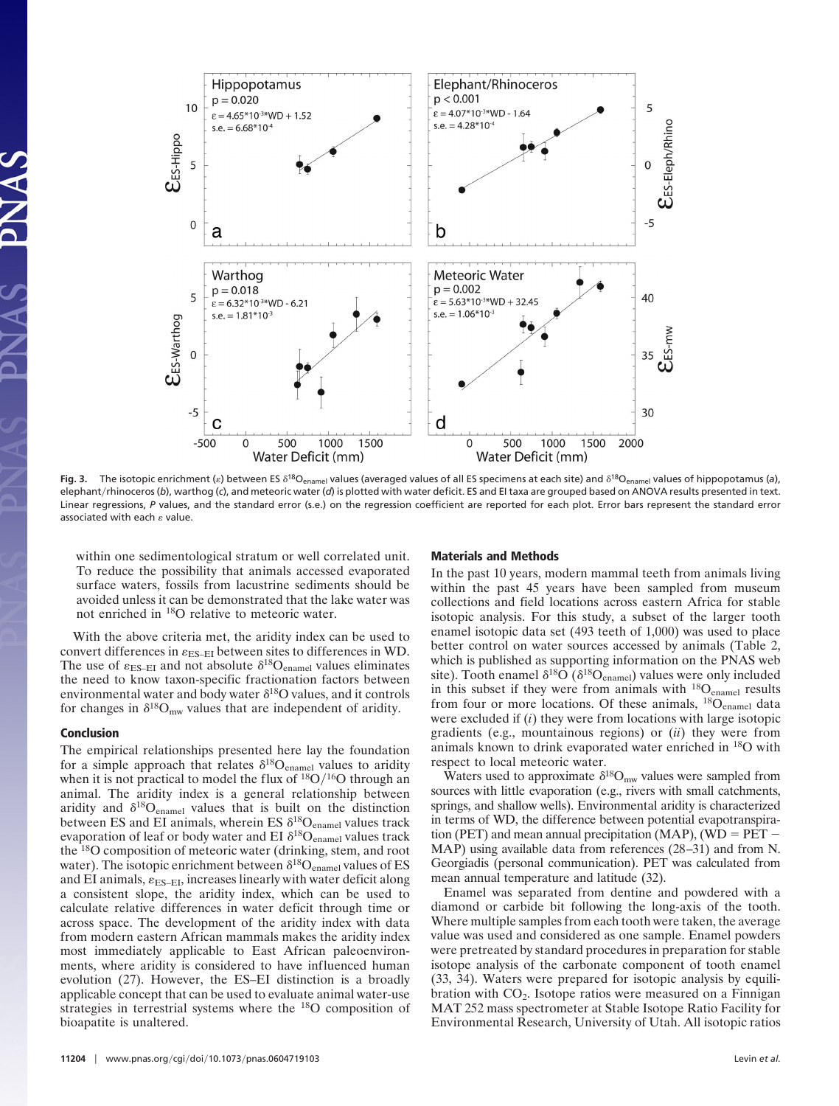

Fig. 3. The isotopic enrichment ( $\varepsilon$ ) between ES  $\delta^{18}O_{\text{enamel}}$  values (averaged values of all ES specimens at each site) and  $\delta^{18}O_{\text{enamel}}$  values of hippopotamus (a), elephant/rhinoceros (b), warthog (c), and meteoric water (*d*) is plotted with water deficit. ES and EI taxa are grouped based on ANOVA results presented in text. Linear regressions, *P* values, and the standard error (s.e.) on the regression coefficient are reported for each plot. Error bars represent the standard error associated with each  $\varepsilon$  value.

within one sedimentological stratum or well correlated unit. To reduce the possibility that animals accessed evaporated surface waters, fossils from lacustrine sediments should be avoided unless it can be demonstrated that the lake water was not enriched in 18O relative to meteoric water.

With the above criteria met, the aridity index can be used to convert differences in  $\varepsilon_{ES-EI}$  between sites to differences in WD. The use of  $\varepsilon_{ES-EI}$  and not absolute  $\delta^{18}O_{\text{channel}}$  values eliminates the need to know taxon-specific fractionation factors between environmental water and body water  $\delta^{18}$ O values, and it controls for changes in  $\delta^{18}O_{mw}$  values that are independent of aridity.

#### **Conclusion**

The empirical relationships presented here lay the foundation for a simple approach that relates  $\delta^{18}O_{\text{channel}}$  values to aridity when it is not practical to model the flux of  $\rm{^{18}O/^{16}O}$  through an animal. The aridity index is a general relationship between aridity and  $\delta^{18}O_{\text{channel}}$  values that is built on the distinction between ES and EI animals, wherein ES  $\delta^{18}O_{\text{enamel}}$  values track evaporation of leaf or body water and EI  $\delta^{18}O_{\text{channel}}$  values track the 18O composition of meteoric water (drinking, stem, and root water). The isotopic enrichment between  $\delta^{18}O_{\text{channel}}$  values of ES and EI animals,  $\varepsilon_{ES-EI}$ , increases linearly with water deficit along a consistent slope, the aridity index, which can be used to calculate relative differences in water deficit through time or across space. The development of the aridity index with data from modern eastern African mammals makes the aridity index most immediately applicable to East African paleoenvironments, where aridity is considered to have influenced human evolution (27). However, the ES–EI distinction is a broadly applicable concept that can be used to evaluate animal water-use strategies in terrestrial systems where the 18O composition of bioapatite is unaltered.

#### **Materials and Methods**

In the past 10 years, modern mammal teeth from animals living within the past 45 years have been sampled from museum collections and field locations across eastern Africa for stable isotopic analysis. For this study, a subset of the larger tooth enamel isotopic data set (493 teeth of 1,000) was used to place better control on water sources accessed by animals (Table 2, which is published as supporting information on the PNAS web site). Tooth enamel  $\delta^{18}O( \delta^{18}O_{\text{channel}})$  values were only included in this subset if they were from animals with  $^{18}O_{\text{channel}}$  results from four or more locations. Of these animals, <sup>18</sup>O<sub>enamel</sub> data were excluded if (*i*) they were from locations with large isotopic gradients (e.g., mountainous regions) or (*ii*) they were from animals known to drink evaporated water enriched in 18O with respect to local meteoric water.

Waters used to approximate  $\delta^{18}O_{mw}$  values were sampled from sources with little evaporation (e.g., rivers with small catchments, springs, and shallow wells). Environmental aridity is characterized in terms of WD, the difference between potential evapotranspiration (PET) and mean annual precipitation (MAP), (WD  $=$  PET  $-$ MAP) using available data from references (28–31) and from N. Georgiadis (personal communication). PET was calculated from mean annual temperature and latitude (32).

Enamel was separated from dentine and powdered with a diamond or carbide bit following the long-axis of the tooth. Where multiple samples from each tooth were taken, the average value was used and considered as one sample. Enamel powders were pretreated by standard procedures in preparation for stable isotope analysis of the carbonate component of tooth enamel (33, 34). Waters were prepared for isotopic analysis by equilibration with  $CO<sub>2</sub>$ . Isotope ratios were measured on a Finnigan MAT 252 mass spectrometer at Stable Isotope Ratio Facility for Environmental Research, University of Utah. All isotopic ratios